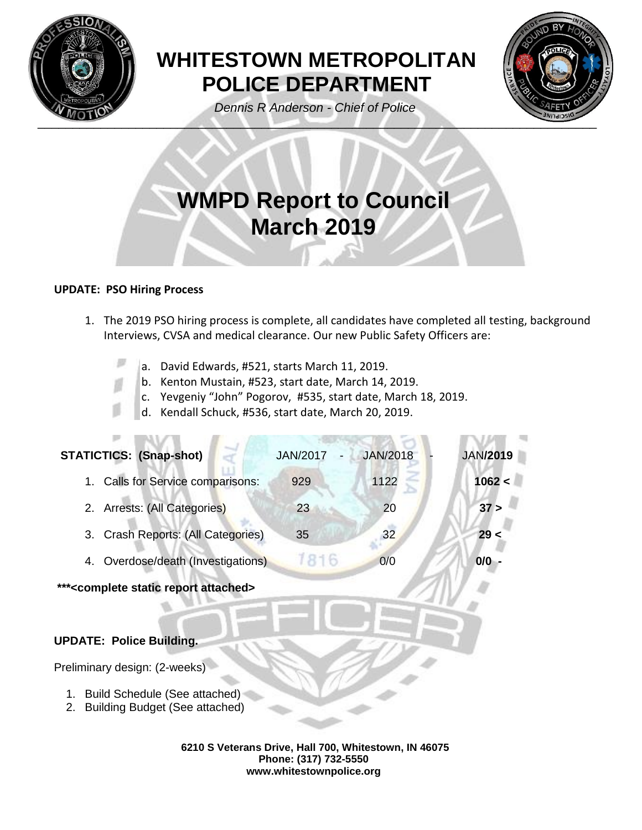

# **WHITESTOWN METROPOLITAN POLICE DEPARTMENT**

*Dennis R Anderson - Chief of Police* 



# **WMPD Report to Council March 2019**

## **UPDATE: PSO Hiring Process**

- 1. The 2019 PSO hiring process is complete, all candidates have completed all testing, background Interviews, CVSA and medical clearance. Our new Public Safety Officers are:
	- a. David Edwards, #521, starts March 11, 2019.
		- b. Kenton Mustain, #523, start date, March 14, 2019.
		- c. Yevgeniy "John" Pogorov, #535, start date, March 18, 2019.
		- d. Kendall Schuck, #536, start date, March 20, 2019.

| <b>STATICTICS: (Snap-shot)</b>            | <b>JAN/2017</b> | <b>JAN/2018</b> | <b>JAN/2019</b> |
|-------------------------------------------|-----------------|-----------------|-----------------|
| Calls for Service comparisons:<br>$1_{-}$ | 929             | 1122            | 1062 <          |
| 2. Arrests: (All Categories)              | 23              | 20              | 37 >            |
| Crash Reports: (All Categories)<br>3.     | 35              | 32              | 29<             |
| Overdose/death (Investigations)           | 1816            | O/O             | $0/0 -$         |
|                                           |                 |                 |                 |

**\*\*\*<complete static report attached>**

# **UPDATE: Police Building.**

Preliminary design: (2-weeks)

- 1. Build Schedule (See attached)
- 2. Building Budget (See attached)

**6210 S Veterans Drive, Hall 700, Whitestown, IN 46075 Phone: (317) 732-5550 www.whitestownpolice.org**